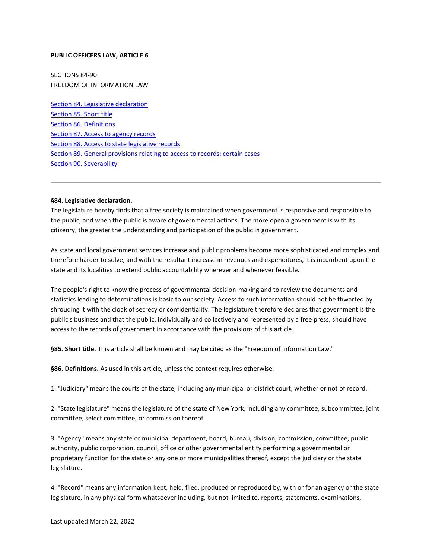### **PUBLIC OFFICERS LAW, ARTICLE 6**

SECTIONS 84-90 FREEDOM OF INFORMATION LAW

[Section 84. Legislative declaration](#page-0-0) [Section 85. Short title](#page-0-1) [Section 86. Definitions](#page-0-2) [Section 87. Access to agency records](#page-1-0) [Section 88. Access to state legislative records](#page-4-0) [Section 89. General provisions relating to access to records; certain cases](#page-5-0) [Section 90. Severability](#page-11-0)

#### <span id="page-0-0"></span>**§84. Legislative declaration.**

The legislature hereby finds that a free society is maintained when government is responsive and responsible to the public, and when the public is aware of governmental actions. The more open a government is with its citizenry, the greater the understanding and participation of the public in government.

As state and local government services increase and public problems become more sophisticated and complex and therefore harder to solve, and with the resultant increase in revenues and expenditures, it is incumbent upon the state and its localities to extend public accountability wherever and whenever feasible.

The people's right to know the process of governmental decision-making and to review the documents and statistics leading to determinations is basic to our society. Access to such information should not be thwarted by shrouding it with the cloak of secrecy or confidentiality. The legislature therefore declares that government is the public's business and that the public, individually and collectively and represented by a free press, should have access to the records of government in accordance with the provisions of this article.

<span id="page-0-1"></span>**§85. Short title.** This article shall be known and may be cited as the "Freedom of Information Law."

<span id="page-0-2"></span>**§86. Definitions.** As used in this article, unless the context requires otherwise.

1. "Judiciary" means the courts of the state, including any municipal or district court, whether or not of record.

2. "State legislature" means the legislature of the state of New York, including any committee, subcommittee, joint committee, select committee, or commission thereof.

3. "Agency" means any state or municipal department, board, bureau, division, commission, committee, public authority, public corporation, council, office or other governmental entity performing a governmental or proprietary function for the state or any one or more municipalities thereof, except the judiciary or the state legislature.

4. "Record" means any information kept, held, filed, produced or reproduced by, with or for an agency or the state legislature, in any physical form whatsoever including, but not limited to, reports, statements, examinations,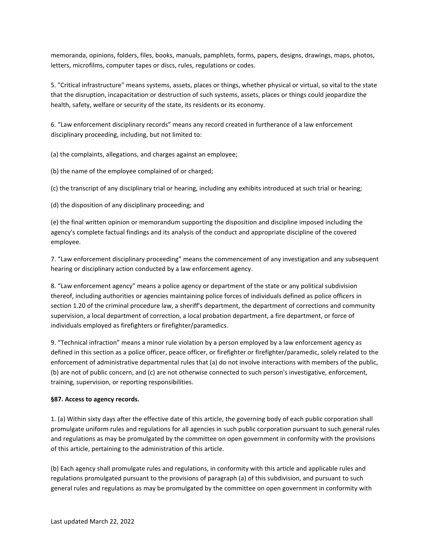memoranda, opinions, folders, files, books, manuals, pamphlets, forms, papers, designs, drawings, maps, photos, letters, microfilms, computer tapes or discs, rules, regulations or codes.

5. "Critical infrastructure" means systems, assets, places or things, whether physical or virtual, so vital to the state that the disruption, incapacitation or destruction of such systems, assets, places or things could jeopardize the health, safety, welfare or security of the state, its residents or its economy.

6. "Law enforcement disciplinary records" means any record created in furtherance of a law enforcement disciplinary proceeding, including, but not limited to:

(a) the complaints, allegations, and charges against an employee;

(b) the name of the employee complained of or charged;

(c) the transcript of any disciplinary trial or hearing, including any exhibits introduced at such trial or hearing;

(d) the disposition of any disciplinary proceeding; and

(e) the final written opinion or memorandum supporting the disposition and discipline imposed including the agency's complete factual findings and its analysis of the conduct and appropriate discipline of the covered employee.

7. "Law enforcement disciplinary proceeding" means the commencement of any investigation and any subsequent hearing or disciplinary action conducted by a law enforcement agency.

8. "Law enforcement agency" means a police agency or department of the state or any political subdivision thereof, including authorities or agencies maintaining police forces of individuals defined as police officers in section 1.20 of the criminal procedure law, a sheriff's department, the department of corrections and community supervision, a local department of correction, a local probation department, a fire department, or force of individuals employed as firefighters or firefighter/paramedics.

9. "Technical infraction" means a minor rule violation by a person employed by a law enforcement agency as defined in this section as a police officer, peace officer, or firefighter or firefighter/paramedic, solely related to the enforcement of administrative departmental rules that (a) do not involve interactions with members of the public, (b) are not of public concern, and (c) are not otherwise connected to such person's investigative, enforcement, training, supervision, or reporting responsibilities.

# <span id="page-1-0"></span>**§87. Access to agency records.**

1. (a) Within sixty days after the effective date of this article, the governing body of each public corporation shall promulgate uniform rules and regulations for all agencies in such public corporation pursuant to such general rules and regulations as may be promulgated by the committee on open government in conformity with the provisions of this article, pertaining to the administration of this article.

(b) Each agency shall promulgate rules and regulations, in conformity with this article and applicable rules and regulations promulgated pursuant to the provisions of paragraph (a) of this subdivision, and pursuant to such general rules and regulations as may be promulgated by the committee on open government in conformity with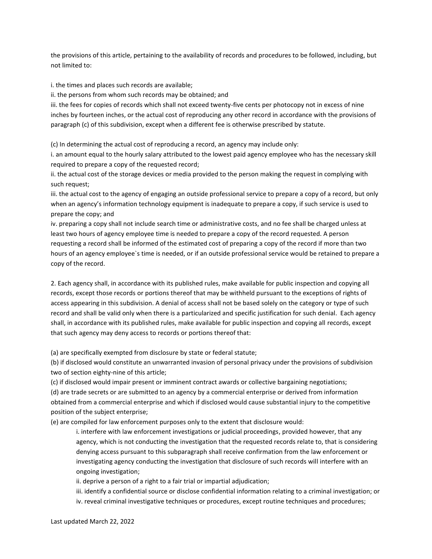the provisions of this article, pertaining to the availability of records and procedures to be followed, including, but not limited to:

i. the times and places such records are available;

ii. the persons from whom such records may be obtained; and

iii. the fees for copies of records which shall not exceed twenty-five cents per photocopy not in excess of nine inches by fourteen inches, or the actual cost of reproducing any other record in accordance with the provisions of paragraph (c) of this subdivision, except when a different fee is otherwise prescribed by statute.

(c) In determining the actual cost of reproducing a record, an agency may include only:

i. an amount equal to the hourly salary attributed to the lowest paid agency employee who has the necessary skill required to prepare a copy of the requested record;

ii. the actual cost of the storage devices or media provided to the person making the request in complying with such request;

iii. the actual cost to the agency of engaging an outside professional service to prepare a copy of a record, but only when an agency's information technology equipment is inadequate to prepare a copy, if such service is used to prepare the copy; and

iv. preparing a copy shall not include search time or administrative costs, and no fee shall be charged unless at least two hours of agency employee time is needed to prepare a copy of the record requested. A person requesting a record shall be informed of the estimated cost of preparing a copy of the record if more than two hours of an agency employee`s time is needed, or if an outside professional service would be retained to prepare a copy of the record.

2. Each agency shall, in accordance with its published rules, make available for public inspection and copying all records, except those records or portions thereof that may be withheld pursuant to the exceptions of rights of access appearing in this subdivision. A denial of access shall not be based solely on the category or type of such record and shall be valid only when there is a particularized and specific justification for such denial. Each agency shall, in accordance with its published rules, make available for public inspection and copying all records, except that such agency may deny access to records or portions thereof that:

(a) are specifically exempted from disclosure by state or federal statute;

(b) if disclosed would constitute an unwarranted invasion of personal privacy under the provisions of subdivision two of section eighty-nine of this article;

(c) if disclosed would impair present or imminent contract awards or collective bargaining negotiations;

(d) are trade secrets or are submitted to an agency by a commercial enterprise or derived from information obtained from a commercial enterprise and which if disclosed would cause substantial injury to the competitive position of the subject enterprise;

(e) are compiled for law enforcement purposes only to the extent that disclosure would:

i. interfere with law enforcement investigations or judicial proceedings, provided however, that any agency, which is not conducting the investigation that the requested records relate to, that is considering denying access pursuant to this subparagraph shall receive confirmation from the law enforcement or investigating agency conducting the investigation that disclosure of such records will interfere with an ongoing investigation;

ii. deprive a person of a right to a fair trial or impartial adjudication;

iii. identify a confidential source or disclose confidential information relating to a criminal investigation; or iv. reveal criminal investigative techniques or procedures, except routine techniques and procedures;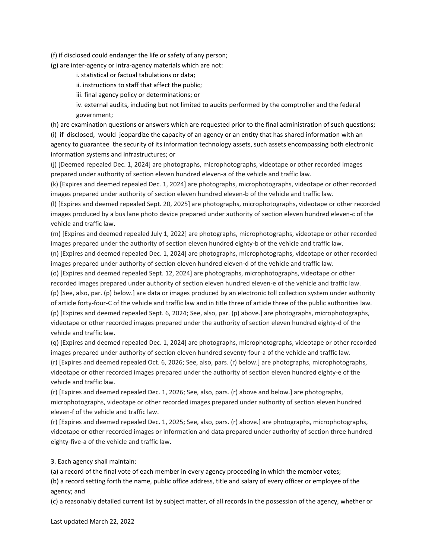(f) if disclosed could endanger the life or safety of any person;

(g) are inter-agency or intra-agency materials which are not:

i. statistical or factual tabulations or data;

ii. instructions to staff that affect the public;

iii. final agency policy or determinations; or

iv. external audits, including but not limited to audits performed by the comptroller and the federal government;

(h) are examination questions or answers which are requested prior to the final administration of such questions;

(i) if disclosed, would jeopardize the capacity of an agency or an entity that has shared information with an agency to guarantee the security of its information technology assets, such assets encompassing both electronic information systems and infrastructures; or

(j) [Deemed repealed Dec. 1, 2024] are photographs, microphotographs, videotape or other recorded images prepared under authority of section eleven hundred eleven-a of the vehicle and traffic law.

(k) [Expires and deemed repealed Dec. 1, 2024] are photographs, microphotographs, videotape or other recorded images prepared under authority of section eleven hundred eleven-b of the vehicle and traffic law.

(l) [Expires and deemed repealed Sept. 20, 2025] are photographs, microphotographs, videotape or other recorded images produced by a bus lane photo device prepared under authority of section eleven hundred eleven-c of the vehicle and traffic law.

(m) [Expires and deemed repealed July 1, 2022] are photographs, microphotographs, videotape or other recorded images prepared under the authority of section eleven hundred eighty-b of the vehicle and traffic law. (n) [Expires and deemed repealed Dec. 1, 2024] are photographs, microphotographs, videotape or other recorded

images prepared under authority of section eleven hundred eleven-d of the vehicle and traffic law.

(o) [Expires and deemed repealed Sept. 12, 2024] are photographs, microphotographs, videotape or other recorded images prepared under authority of section eleven hundred eleven-e of the vehicle and traffic law.

(p) [See, also, par. (p) below.] are data or images produced by an electronic toll collection system under authority of article forty-four-C of the vehicle and traffic law and in title three of article three of the public authorities law. (p) [Expires and deemed repealed Sept. 6, 2024; See, also, par. (p) above.] are photographs, microphotographs, videotape or other recorded images prepared under the authority of section eleven hundred eighty-d of the vehicle and traffic law.

(q) [Expires and deemed repealed Dec. 1, 2024] are photographs, microphotographs, videotape or other recorded images prepared under authority of section eleven hundred seventy-four-a of the vehicle and traffic law.

(r) [Expires and deemed repealed Oct. 6, 2026; See, also, pars. (r) below.] are photographs, microphotographs, videotape or other recorded images prepared under the authority of section eleven hundred eighty-e of the vehicle and traffic law.

(r) [Expires and deemed repealed Dec. 1, 2026; See, also, pars. (r) above and below.] are photographs, microphotographs, videotape or other recorded images prepared under authority of section eleven hundred eleven-f of the vehicle and traffic law.

(r) [Expires and deemed repealed Dec. 1, 2025; See, also, pars. (r) above.] are photographs, microphotographs, videotape or other recorded images or information and data prepared under authority of section three hundred eighty-five-a of the vehicle and traffic law.

3. Each agency shall maintain:

(a) a record of the final vote of each member in every agency proceeding in which the member votes;

(b) a record setting forth the name, public office address, title and salary of every officer or employee of the agency; and

(c) a reasonably detailed current list by subject matter, of all records in the possession of the agency, whether or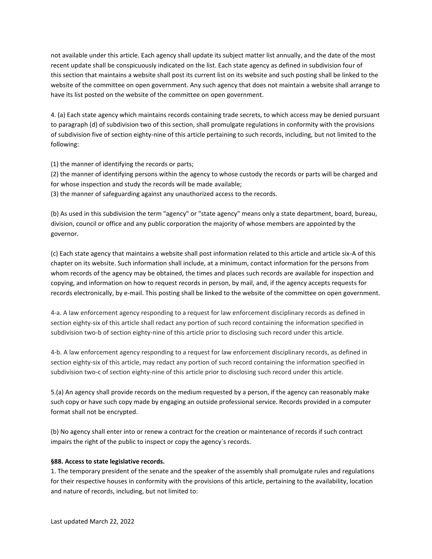not available under this article. Each agency shall update its subject matter list annually, and the date of the most recent update shall be conspicuously indicated on the list. Each state agency as defined in subdivision four of this section that maintains a website shall post its current list on its website and such posting shall be linked to the website of the committee on open government. Any such agency that does not maintain a website shall arrange to have its list posted on the website of the committee on open government.

4. (a) Each state agency which maintains records containing trade secrets, to which access may be denied pursuant to paragraph (d) of subdivision two of this section, shall promulgate regulations in conformity with the provisions of subdivision five of section eighty-nine of this article pertaining to such records, including, but not limited to the following:

- (1) the manner of identifying the records or parts;
- (2) the manner of identifying persons within the agency to whose custody the records or parts will be charged and for whose inspection and study the records will be made available;
- (3) the manner of safeguarding against any unauthorized access to the records.

(b) As used in this subdivision the term "agency" or "state agency" means only a state department, board, bureau, division, council or office and any public corporation the majority of whose members are appointed by the governor.

(c) Each state agency that maintains a website shall post information related to this article and article six-A of this chapter on its website. Such information shall include, at a minimum, contact information for the persons from whom records of the agency may be obtained, the times and places such records are available for inspection and copying, and information on how to request records in person, by mail, and, if the agency accepts requests for records electronically, by e-mail. This posting shall be linked to the website of the committee on open government.

4-a. A law enforcement agency responding to a request for law enforcement disciplinary records as defined in section eighty-six of this article shall redact any portion of such record containing the information specified in subdivision two-b of section eighty-nine of this article prior to disclosing such record under this article.

4-b. A law enforcement agency responding to a request for law enforcement disciplinary records, as defined in section eighty-six of this article, may redact any portion of such record containing the information specified in subdivision two-c of section eighty-nine of this article prior to disclosing such record under this article.

5.(a) An agency shall provide records on the medium requested by a person, if the agency can reasonably make such copy or have such copy made by engaging an outside professional service. Records provided in a computer format shall not be encrypted.

(b) No agency shall enter into or renew a contract for the creation or maintenance of records if such contract impairs the right of the public to inspect or copy the agency`s records.

### <span id="page-4-0"></span>**§88. Access to state legislative records.**

1. The temporary president of the senate and the speaker of the assembly shall promulgate rules and regulations for their respective houses in conformity with the provisions of this article, pertaining to the availability, location and nature of records, including, but not limited to: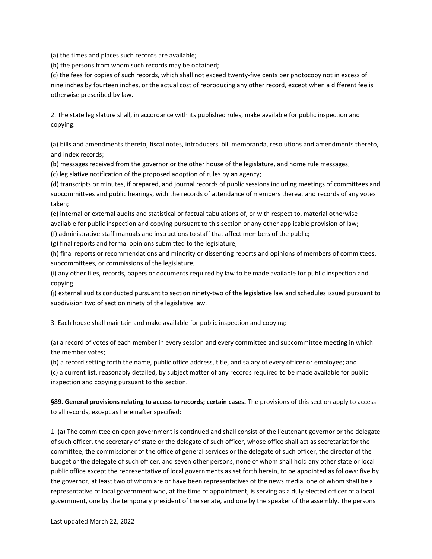(a) the times and places such records are available;

(b) the persons from whom such records may be obtained;

(c) the fees for copies of such records, which shall not exceed twenty-five cents per photocopy not in excess of nine inches by fourteen inches, or the actual cost of reproducing any other record, except when a different fee is otherwise prescribed by law.

2. The state legislature shall, in accordance with its published rules, make available for public inspection and copying:

(a) bills and amendments thereto, fiscal notes, introducers' bill memoranda, resolutions and amendments thereto, and index records;

(b) messages received from the governor or the other house of the legislature, and home rule messages;

(c) legislative notification of the proposed adoption of rules by an agency;

(d) transcripts or minutes, if prepared, and journal records of public sessions including meetings of committees and subcommittees and public hearings, with the records of attendance of members thereat and records of any votes taken;

(e) internal or external audits and statistical or factual tabulations of, or with respect to, material otherwise available for public inspection and copying pursuant to this section or any other applicable provision of law;

(f) administrative staff manuals and instructions to staff that affect members of the public;

(g) final reports and formal opinions submitted to the legislature;

(h) final reports or recommendations and minority or dissenting reports and opinions of members of committees, subcommittees, or commissions of the legislature;

(i) any other files, records, papers or documents required by law to be made available for public inspection and copying.

(j) external audits conducted pursuant to section ninety-two of the legislative law and schedules issued pursuant to subdivision two of section ninety of the legislative law.

3. Each house shall maintain and make available for public inspection and copying:

(a) a record of votes of each member in every session and every committee and subcommittee meeting in which the member votes;

(b) a record setting forth the name, public office address, title, and salary of every officer or employee; and (c) a current list, reasonably detailed, by subject matter of any records required to be made available for public inspection and copying pursuant to this section.

<span id="page-5-0"></span>**§89. General provisions relating to access to records; certain cases.** The provisions of this section apply to access to all records, except as hereinafter specified:

1. (a) The committee on open government is continued and shall consist of the lieutenant governor or the delegate of such officer, the secretary of state or the delegate of such officer, whose office shall act as secretariat for the committee, the commissioner of the office of general services or the delegate of such officer, the director of the budget or the delegate of such officer, and seven other persons, none of whom shall hold any other state or local public office except the representative of local governments as set forth herein, to be appointed as follows: five by the governor, at least two of whom are or have been representatives of the news media, one of whom shall be a representative of local government who, at the time of appointment, is serving as a duly elected officer of a local government, one by the temporary president of the senate, and one by the speaker of the assembly. The persons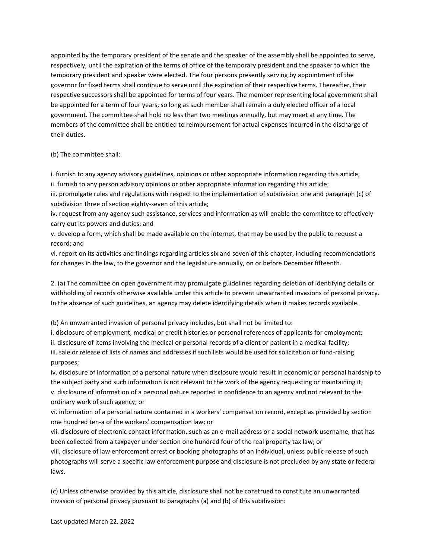appointed by the temporary president of the senate and the speaker of the assembly shall be appointed to serve, respectively, until the expiration of the terms of office of the temporary president and the speaker to which the temporary president and speaker were elected. The four persons presently serving by appointment of the governor for fixed terms shall continue to serve until the expiration of their respective terms. Thereafter, their respective successors shall be appointed for terms of four years. The member representing local government shall be appointed for a term of four years, so long as such member shall remain a duly elected officer of a local government. The committee shall hold no less than two meetings annually, but may meet at any time. The members of the committee shall be entitled to reimbursement for actual expenses incurred in the discharge of their duties.

## (b) The committee shall:

i. furnish to any agency advisory guidelines, opinions or other appropriate information regarding this article; ii. furnish to any person advisory opinions or other appropriate information regarding this article;

iii. promulgate rules and regulations with respect to the implementation of subdivision one and paragraph (c) of subdivision three of section eighty-seven of this article;

iv. request from any agency such assistance, services and information as will enable the committee to effectively carry out its powers and duties; and

v. develop a form, which shall be made available on the internet, that may be used by the public to request a record; and

vi. report on its activities and findings regarding articles six and seven of this chapter, including recommendations for changes in the law, to the governor and the legislature annually, on or before December fifteenth.

2. (a) The committee on open government may promulgate guidelines regarding deletion of identifying details or withholding of records otherwise available under this article to prevent unwarranted invasions of personal privacy. In the absence of such guidelines, an agency may delete identifying details when it makes records available.

(b) An unwarranted invasion of personal privacy includes, but shall not be limited to:

i. disclosure of employment, medical or credit histories or personal references of applicants for employment; ii. disclosure of items involving the medical or personal records of a client or patient in a medical facility; iii. sale or release of lists of names and addresses if such lists would be used for solicitation or fund-raising purposes;

iv. disclosure of information of a personal nature when disclosure would result in economic or personal hardship to the subject party and such information is not relevant to the work of the agency requesting or maintaining it; v. disclosure of information of a personal nature reported in confidence to an agency and not relevant to the ordinary work of such agency; or

vi. information of a personal nature contained in a workers' compensation record, except as provided by section one hundred ten-a of the workers' compensation law; or

vii. disclosure of electronic contact information, such as an e-mail address or a social network username, that has been collected from a taxpayer under section one hundred four of the real property tax law; or viii. disclosure of law enforcement arrest or booking photographs of an individual, unless public release of such photographs will serve a specific law enforcement purpose and disclosure is not precluded by any state or federal laws.

(c) Unless otherwise provided by this article, disclosure shall not be construed to constitute an unwarranted invasion of personal privacy pursuant to paragraphs (a) and (b) of this subdivision: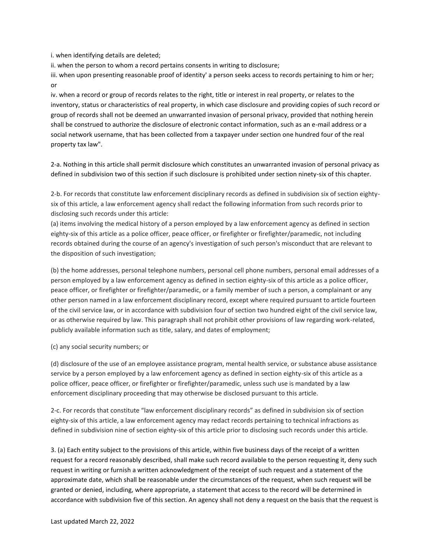i. when identifying details are deleted;

ii. when the person to whom a record pertains consents in writing to disclosure;

iii. when upon presenting reasonable proof of identity' a person seeks access to records pertaining to him or her; or

iv. when a record or group of records relates to the right, title or interest in real property, or relates to the inventory, status or characteristics of real property, in which case disclosure and providing copies of such record or group of records shall not be deemed an unwarranted invasion of personal privacy, provided that nothing herein shall be construed to authorize the disclosure of electronic contact information, such as an e-mail address or a social network username, that has been collected from a taxpayer under section one hundred four of the real property tax law".

2-a. Nothing in this article shall permit disclosure which constitutes an unwarranted invasion of personal privacy as defined in subdivision two of this section if such disclosure is prohibited under section ninety-six of this chapter.

2-b. For records that constitute law enforcement disciplinary records as defined in subdivision six of section eightysix of this article, a law enforcement agency shall redact the following information from such records prior to disclosing such records under this article:

(a) items involving the medical history of a person employed by a law enforcement agency as defined in section eighty-six of this article as a police officer, peace officer, or firefighter or firefighter/paramedic, not including records obtained during the course of an agency's investigation of such person's misconduct that are relevant to the disposition of such investigation;

(b) the home addresses, personal telephone numbers, personal cell phone numbers, personal email addresses of a person employed by a law enforcement agency as defined in section eighty-six of this article as a police officer, peace officer, or firefighter or firefighter/paramedic, or a family member of such a person, a complainant or any other person named in a law enforcement disciplinary record, except where required pursuant to article fourteen of the civil service law, or in accordance with subdivision four of section two hundred eight of the civil service law, or as otherwise required by law. This paragraph shall not prohibit other provisions of law regarding work-related, publicly available information such as title, salary, and dates of employment;

### (c) any social security numbers; or

(d) disclosure of the use of an employee assistance program, mental health service, or substance abuse assistance service by a person employed by a law enforcement agency as defined in section eighty-six of this article as a police officer, peace officer, or firefighter or firefighter/paramedic, unless such use is mandated by a law enforcement disciplinary proceeding that may otherwise be disclosed pursuant to this article.

2-c. For records that constitute "law enforcement disciplinary records" as defined in subdivision six of section eighty-six of this article, a law enforcement agency may redact records pertaining to technical infractions as defined in subdivision nine of section eighty-six of this article prior to disclosing such records under this article.

3. (a) Each entity subject to the provisions of this article, within five business days of the receipt of a written request for a record reasonably described, shall make such record available to the person requesting it, deny such request in writing or furnish a written acknowledgment of the receipt of such request and a statement of the approximate date, which shall be reasonable under the circumstances of the request, when such request will be granted or denied, including, where appropriate, a statement that access to the record will be determined in accordance with subdivision five of this section. An agency shall not deny a request on the basis that the request is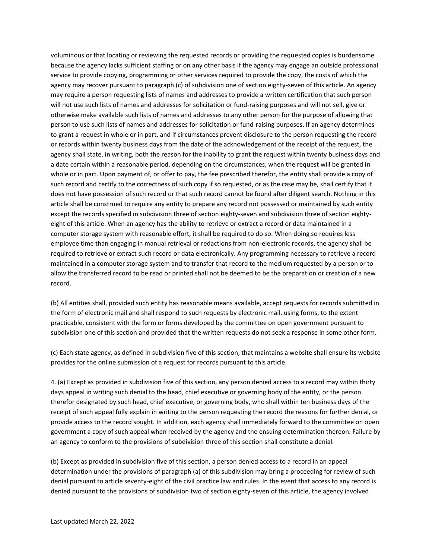voluminous or that locating or reviewing the requested records or providing the requested copies is burdensome because the agency lacks sufficient staffing or on any other basis if the agency may engage an outside professional service to provide copying, programming or other services required to provide the copy, the costs of which the agency may recover pursuant to paragraph (c) of subdivision one of section eighty-seven of this article. An agency may require a person requesting lists of names and addresses to provide a written certification that such person will not use such lists of names and addresses for solicitation or fund-raising purposes and will not sell, give or otherwise make available such lists of names and addresses to any other person for the purpose of allowing that person to use such lists of names and addresses for solicitation or fund-raising purposes. If an agency determines to grant a request in whole or in part, and if circumstances prevent disclosure to the person requesting the record or records within twenty business days from the date of the acknowledgement of the receipt of the request, the agency shall state, in writing, both the reason for the inability to grant the request within twenty business days and a date certain within a reasonable period, depending on the circumstances, when the request will be granted in whole or in part. Upon payment of, or offer to pay, the fee prescribed therefor, the entity shall provide a copy of such record and certify to the correctness of such copy if so requested, or as the case may be, shall certify that it does not have possession of such record or that such record cannot be found after diligent search. Nothing in this article shall be construed to require any entity to prepare any record not possessed or maintained by such entity except the records specified in subdivision three of section eighty-seven and subdivision three of section eightyeight of this article. When an agency has the ability to retrieve or extract a record or data maintained in a computer storage system with reasonable effort, it shall be required to do so. When doing so requires less employee time than engaging in manual retrieval or redactions from non-electronic records, the agency shall be required to retrieve or extract such record or data electronically. Any programming necessary to retrieve a record maintained in a computer storage system and to transfer that record to the medium requested by a person or to allow the transferred record to be read or printed shall not be deemed to be the preparation or creation of a new record.

(b) All entities shall, provided such entity has reasonable means available, accept requests for records submitted in the form of electronic mail and shall respond to such requests by electronic mail, using forms, to the extent practicable, consistent with the form or forms developed by the committee on open government pursuant to subdivision one of this section and provided that the written requests do not seek a response in some other form.

(c) Each state agency, as defined in subdivision five of this section, that maintains a website shall ensure its website provides for the online submission of a request for records pursuant to this article.

4. (a) Except as provided in subdivision five of this section, any person denied access to a record may within thirty days appeal in writing such denial to the head, chief executive or governing body of the entity, or the person therefor designated by such head, chief executive, or governing body, who shall within ten business days of the receipt of such appeal fully explain in writing to the person requesting the record the reasons for further denial, or provide access to the record sought. In addition, each agency shall immediately forward to the committee on open government a copy of such appeal when received by the agency and the ensuing determination thereon. Failure by an agency to conform to the provisions of subdivision three of this section shall constitute a denial.

(b) Except as provided in subdivision five of this section, a person denied access to a record in an appeal determination under the provisions of paragraph (a) of this subdivision may bring a proceeding for review of such denial pursuant to article seventy-eight of the civil practice law and rules. In the event that access to any record is denied pursuant to the provisions of subdivision two of section eighty-seven of this article, the agency involved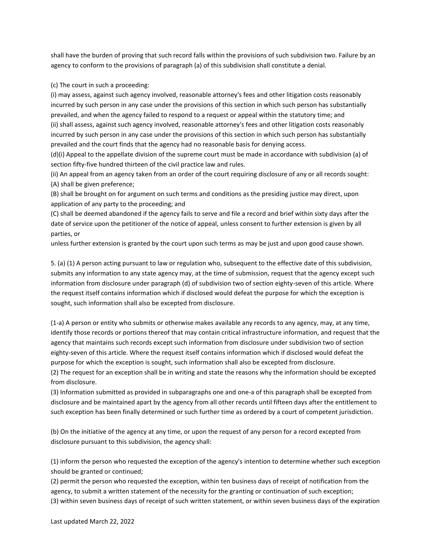shall have the burden of proving that such record falls within the provisions of such subdivision two. Failure by an agency to conform to the provisions of paragraph (a) of this subdivision shall constitute a denial.

(c) The court in such a proceeding:

(i) may assess, against such agency involved, reasonable attorney's fees and other litigation costs reasonably incurred by such person in any case under the provisions of this section in which such person has substantially prevailed, and when the agency failed to respond to a request or appeal within the statutory time; and (ii) shall assess, against such agency involved, reasonable attorney's fees and other litigation costs reasonably incurred by such person in any case under the provisions of this section in which such person has substantially

prevailed and the court finds that the agency had no reasonable basis for denying access.

(d)(i) Appeal to the appellate division of the supreme court must be made in accordance with subdivision (a) of section fifty-five hundred thirteen of the civil practice law and rules.

(ii) An appeal from an agency taken from an order of the court requiring disclosure of any or all records sought: (A) shall be given preference;

(B) shall be brought on for argument on such terms and conditions as the presiding justice may direct, upon application of any party to the proceeding; and

(C) shall be deemed abandoned if the agency fails to serve and file a record and brief within sixty days after the date of service upon the petitioner of the notice of appeal, unless consent to further extension is given by all parties, or

unless further extension is granted by the court upon such terms as may be just and upon good cause shown.

5. (a) (1) A person acting pursuant to law or regulation who, subsequent to the effective date of this subdivision, submits any information to any state agency may, at the time of submission, request that the agency except such information from disclosure under paragraph (d) of subdivision two of section eighty-seven of this article. Where the request itself contains information which if disclosed would defeat the purpose for which the exception is sought, such information shall also be excepted from disclosure.

(1-a) A person or entity who submits or otherwise makes available any records to any agency, may, at any time, identify those records or portions thereof that may contain critical infrastructure information, and request that the agency that maintains such records except such information from disclosure under subdivision two of section eighty-seven of this article. Where the request itself contains information which if disclosed would defeat the purpose for which the exception is sought, such information shall also be excepted from disclosure. (2) The request for an exception shall be in writing and state the reasons why the information should be excepted

from disclosure.

(3) Information submitted as provided in subparagraphs one and one-a of this paragraph shall be excepted from disclosure and be maintained apart by the agency from all other records until fifteen days after the entitlement to such exception has been finally determined or such further time as ordered by a court of competent jurisdiction.

(b) On the initiative of the agency at any time, or upon the request of any person for a record excepted from disclosure pursuant to this subdivision, the agency shall:

(1) inform the person who requested the exception of the agency's intention to determine whether such exception should be granted or continued;

(2) permit the person who requested the exception, within ten business days of receipt of notification from the agency, to submit a written statement of the necessity for the granting or continuation of such exception; (3) within seven business days of receipt of such written statement, or within seven business days of the expiration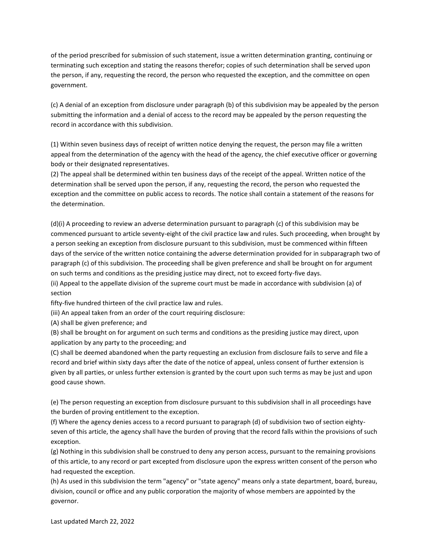of the period prescribed for submission of such statement, issue a written determination granting, continuing or terminating such exception and stating the reasons therefor; copies of such determination shall be served upon the person, if any, requesting the record, the person who requested the exception, and the committee on open government.

(c) A denial of an exception from disclosure under paragraph (b) of this subdivision may be appealed by the person submitting the information and a denial of access to the record may be appealed by the person requesting the record in accordance with this subdivision.

(1) Within seven business days of receipt of written notice denying the request, the person may file a written appeal from the determination of the agency with the head of the agency, the chief executive officer or governing body or their designated representatives.

(2) The appeal shall be determined within ten business days of the receipt of the appeal. Written notice of the determination shall be served upon the person, if any, requesting the record, the person who requested the exception and the committee on public access to records. The notice shall contain a statement of the reasons for the determination.

(d)(i) A proceeding to review an adverse determination pursuant to paragraph (c) of this subdivision may be commenced pursuant to article seventy-eight of the civil practice law and rules. Such proceeding, when brought by a person seeking an exception from disclosure pursuant to this subdivision, must be commenced within fifteen days of the service of the written notice containing the adverse determination provided for in subparagraph two of paragraph (c) of this subdivision. The proceeding shall be given preference and shall be brought on for argument on such terms and conditions as the presiding justice may direct, not to exceed forty-five days.

(ii) Appeal to the appellate division of the supreme court must be made in accordance with subdivision (a) of section

fifty-five hundred thirteen of the civil practice law and rules.

(iii) An appeal taken from an order of the court requiring disclosure:

(A) shall be given preference; and

(B) shall be brought on for argument on such terms and conditions as the presiding justice may direct, upon application by any party to the proceeding; and

(C) shall be deemed abandoned when the party requesting an exclusion from disclosure fails to serve and file a record and brief within sixty days after the date of the notice of appeal, unless consent of further extension is given by all parties, or unless further extension is granted by the court upon such terms as may be just and upon good cause shown.

(e) The person requesting an exception from disclosure pursuant to this subdivision shall in all proceedings have the burden of proving entitlement to the exception.

(f) Where the agency denies access to a record pursuant to paragraph (d) of subdivision two of section eightyseven of this article, the agency shall have the burden of proving that the record falls within the provisions of such exception.

(g) Nothing in this subdivision shall be construed to deny any person access, pursuant to the remaining provisions of this article, to any record or part excepted from disclosure upon the express written consent of the person who had requested the exception.

(h) As used in this subdivision the term "agency" or "state agency" means only a state department, board, bureau, division, council or office and any public corporation the majority of whose members are appointed by the governor.